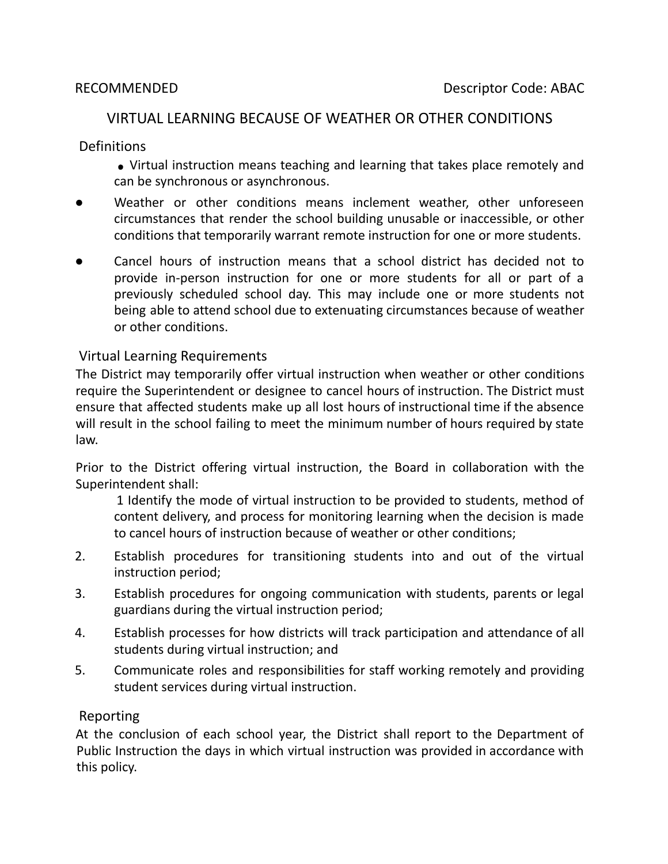## VIRTUAL LEARNING BECAUSE OF WEATHER OR OTHER CONDITIONS

**Definitions** 

Virtual instruction means teaching and learning that takes place remotely and can be synchronous or asynchronous.

- Weather or other conditions means inclement weather, other unforeseen circumstances that render the school building unusable or inaccessible, or other conditions that temporarily warrant remote instruction for one or more students.
- Cancel hours of instruction means that a school district has decided not to provide in-person instruction for one or more students for all or part of a previously scheduled school day. This may include one or more students not being able to attend school due to extenuating circumstances because of weather or other conditions.

## Virtual Learning Requirements

The District may temporarily offer virtual instruction when weather or other conditions require the Superintendent or designee to cancel hours of instruction. The District must ensure that affected students make up all lost hours of instructional time if the absence will result in the school failing to meet the minimum number of hours required by state law.

Prior to the District offering virtual instruction, the Board in collaboration with the Superintendent shall:

1 Identify the mode of virtual instruction to be provided to students, method of content delivery, and process for monitoring learning when the decision is made to cancel hours of instruction because of weather or other conditions;

- 2. Establish procedures for transitioning students into and out of the virtual instruction period;
- 3. Establish procedures for ongoing communication with students, parents or legal guardians during the virtual instruction period;
- 4. Establish processes for how districts will track participation and attendance of all students during virtual instruction; and
- 5. Communicate roles and responsibilities for staff working remotely and providing student services during virtual instruction.

## Reporting

At the conclusion of each school year, the District shall report to the Department of Public Instruction the days in which virtual instruction was provided in accordance with this policy.